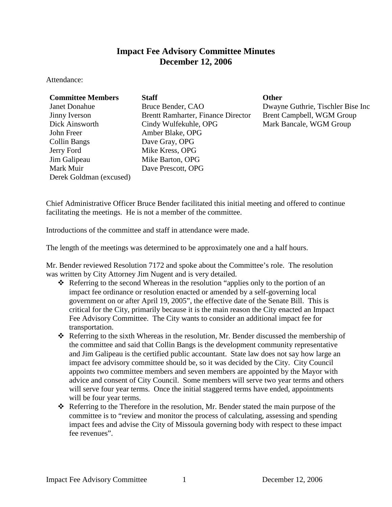# **Impact Fee Advisory Committee Minutes December 12, 2006**

Attendance:

| <b>Committee Members</b> | <b>Staff</b>                       | <b>Other</b>                      |
|--------------------------|------------------------------------|-----------------------------------|
| <b>Janet Donahue</b>     | Bruce Bender, CAO                  | Dwayne Guthrie, Tischler Bise Inc |
| Jinny Iverson            | Brentt Ramharter, Finance Director | Brent Campbell, WGM Group         |
| Dick Ainsworth           | Cindy Wulfekuhle, OPG              | Mark Bancale, WGM Group           |
| John Freer               | Amber Blake, OPG                   |                                   |
| Collin Bangs             | Dave Gray, OPG                     |                                   |
| Jerry Ford               | Mike Kress, OPG                    |                                   |
| Jim Galipeau             | Mike Barton, OPG                   |                                   |
| Mark Muir                | Dave Prescott, OPG                 |                                   |
| Derek Goldman (excused)  |                                    |                                   |

Chief Administrative Officer Bruce Bender facilitated this initial meeting and offered to continue facilitating the meetings. He is not a member of the committee.

Introductions of the committee and staff in attendance were made.

The length of the meetings was determined to be approximately one and a half hours.

Mr. Bender reviewed Resolution 7172 and spoke about the Committee's role. The resolution was written by City Attorney Jim Nugent and is very detailed.

- $\triangle$  Referring to the second Whereas in the resolution "applies only to the portion of an impact fee ordinance or resolution enacted or amended by a self-governing local government on or after April 19, 2005", the effective date of the Senate Bill. This is critical for the City, primarily because it is the main reason the City enacted an Impact Fee Advisory Committee. The City wants to consider an additional impact fee for transportation.
- Referring to the sixth Whereas in the resolution, Mr. Bender discussed the membership of the committee and said that Collin Bangs is the development community representative and Jim Galipeau is the certified public accountant. State law does not say how large an impact fee advisory committee should be, so it was decided by the City. City Council appoints two committee members and seven members are appointed by the Mayor with advice and consent of City Council. Some members will serve two year terms and others will serve four year terms. Once the initial staggered terms have ended, appointments will be four year terms.
- Referring to the Therefore in the resolution, Mr. Bender stated the main purpose of the committee is to "review and monitor the process of calculating, assessing and spending impact fees and advise the City of Missoula governing body with respect to these impact fee revenues".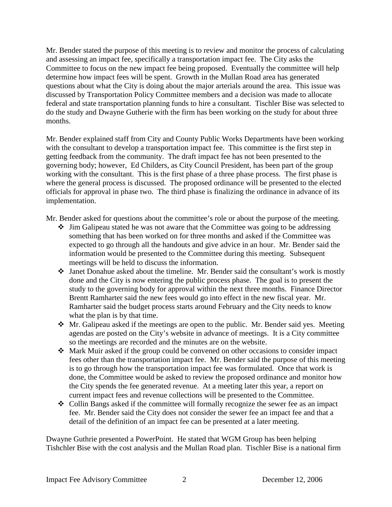Mr. Bender stated the purpose of this meeting is to review and monitor the process of calculating and assessing an impact fee, specifically a transportation impact fee. The City asks the Committee to focus on the new impact fee being proposed. Eventually the committee will help determine how impact fees will be spent. Growth in the Mullan Road area has generated questions about what the City is doing about the major arterials around the area. This issue was discussed by Transportation Policy Committee members and a decision was made to allocate federal and state transportation planning funds to hire a consultant. Tischler Bise was selected to do the study and Dwayne Gutherie with the firm has been working on the study for about three months.

Mr. Bender explained staff from City and County Public Works Departments have been working with the consultant to develop a transportation impact fee. This committee is the first step in getting feedback from the community. The draft impact fee has not been presented to the governing body; however, Ed Childers, as City Council President, has been part of the group working with the consultant. This is the first phase of a three phase process. The first phase is where the general process is discussed. The proposed ordinance will be presented to the elected officials for approval in phase two. The third phase is finalizing the ordinance in advance of its implementation.

Mr. Bender asked for questions about the committee's role or about the purpose of the meeting.

- $\cdot$  Jim Galipeau stated he was not aware that the Committee was going to be addressing something that has been worked on for three months and asked if the Committee was expected to go through all the handouts and give advice in an hour. Mr. Bender said the information would be presented to the Committee during this meeting. Subsequent meetings will be held to discuss the information.
- Janet Donahue asked about the timeline. Mr. Bender said the consultant's work is mostly done and the City is now entering the public process phase. The goal is to present the study to the governing body for approval within the next three months. Finance Director Brentt Ramharter said the new fees would go into effect in the new fiscal year. Mr. Ramharter said the budget process starts around February and the City needs to know what the plan is by that time.
- $\cdot$  Mr. Galipeau asked if the meetings are open to the public. Mr. Bender said yes. Meeting agendas are posted on the City's website in advance of meetings. It is a City committee so the meetings are recorded and the minutes are on the website.
- Mark Muir asked if the group could be convened on other occasions to consider impact fees other than the transportation impact fee. Mr. Bender said the purpose of this meeting is to go through how the transportation impact fee was formulated. Once that work is done, the Committee would be asked to review the proposed ordinance and monitor how the City spends the fee generated revenue. At a meeting later this year, a report on current impact fees and revenue collections will be presented to the Committee.
- $\triangleleft$  Collin Bangs asked if the committee will formally recognize the sewer fee as an impact fee. Mr. Bender said the City does not consider the sewer fee an impact fee and that a detail of the definition of an impact fee can be presented at a later meeting.

Dwayne Guthrie presented a PowerPoint. He stated that WGM Group has been helping Tishchler Bise with the cost analysis and the Mullan Road plan. Tischler Bise is a national firm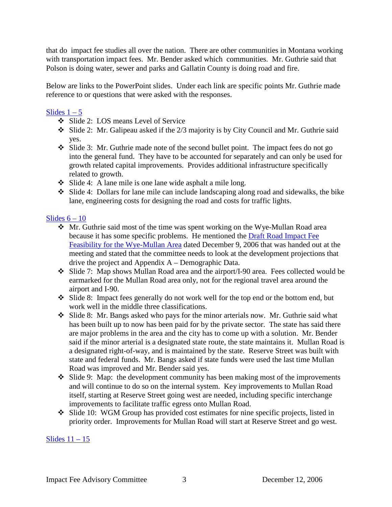that do impact fee studies all over the nation. There are other communities in Montana working with transportation impact fees. Mr. Bender asked which communities. Mr. Guthrie said that Polson is doing water, sewer and parks and Gallatin County is doing road and fire.

Below are links to the PowerPoint slides. Under each link are specific points Mr. Guthrie made reference to or questions that were asked with the responses.

## Slides  $1 - 5$

- Slide 2: LOS means Level of Service
- Slide 2: Mr. Galipeau asked if the 2/3 majority is by City Council and Mr. Guthrie said yes.
- Slide 3: Mr. Guthrie made note of the second bullet point. The impact fees do not go into the general fund. They have to be accounted for separately and can only be used for growth related capital improvements. Provides additional infrastructure specifically related to growth.
- Slide 4: A lane mile is one lane wide asphalt a mile long.
- $\div$  Slide 4: Dollars for lane mile can include landscaping along road and sidewalks, the bike lane, engineering costs for designing the road and costs for traffic lights.

## Slides  $6 - 10$

- Mr. Guthrie said most of the time was spent working on the Wye-Mullan Road area because it has some specific problems. He mentioned the [Draft Road Impact Fee](ftp://www.ci.missoula.mt.us/Documents/Mayor/IFAC/061212FeasibilityDraft.pdf)  [Feasibility for the Wye-Mullan Area](ftp://www.ci.missoula.mt.us/Documents/Mayor/IFAC/061212FeasibilityDraft.pdf) dated December 9, 2006 that was handed out at the meeting and stated that the committee needs to look at the development projections that drive the project and Appendix A – Demographic Data.
- Slide 7: Map shows Mullan Road area and the airport/I-90 area. Fees collected would be earmarked for the Mullan Road area only, not for the regional travel area around the airport and I-90.
- Slide 8: Impact fees generally do not work well for the top end or the bottom end, but work well in the middle three classifications.
- Slide 8: Mr. Bangs asked who pays for the minor arterials now. Mr. Guthrie said what has been built up to now has been paid for by the private sector. The state has said there are major problems in the area and the city has to come up with a solution. Mr. Bender said if the minor arterial is a designated state route, the state maintains it. Mullan Road is a designated right-of-way, and is maintained by the state. Reserve Street was built with state and federal funds. Mr. Bangs asked if state funds were used the last time Mullan Road was improved and Mr. Bender said yes.
- $\cdot$  Slide 9: Map: the development community has been making most of the improvements and will continue to do so on the internal system. Key improvements to Mullan Road itself, starting at Reserve Street going west are needed, including specific interchange improvements to facilitate traffic egress onto Mullan Road.
- Slide 10: WGM Group has provided cost estimates for nine specific projects, listed in priority order. Improvements for Mullan Road will start at Reserve Street and go west.

Slides  $11 - 15$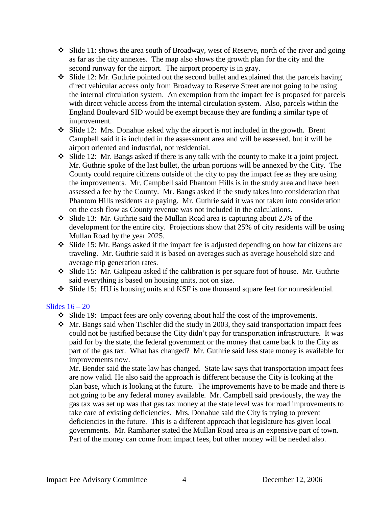- Slide 11: shows the area south of Broadway, west of Reserve, north of the river and going as far as the city annexes. The map also shows the growth plan for the city and the second runway for the airport. The airport property is in gray.
- $\cdot$  Slide 12: Mr. Guthrie pointed out the second bullet and explained that the parcels having direct vehicular access only from Broadway to Reserve Street are not going to be using the internal circulation system. An exemption from the impact fee is proposed for parcels with direct vehicle access from the internal circulation system. Also, parcels within the England Boulevard SID would be exempt because they are funding a similar type of improvement.
- Slide 12: Mrs. Donahue asked why the airport is not included in the growth. Brent Campbell said it is included in the assessment area and will be assessed, but it will be airport oriented and industrial, not residential.
- Slide 12: Mr. Bangs asked if there is any talk with the county to make it a joint project. Mr. Guthrie spoke of the last bullet, the urban portions will be annexed by the City. The County could require citizens outside of the city to pay the impact fee as they are using the improvements. Mr. Campbell said Phantom Hills is in the study area and have been assessed a fee by the County. Mr. Bangs asked if the study takes into consideration that Phantom Hills residents are paying. Mr. Guthrie said it was not taken into consideration on the cash flow as County revenue was not included in the calculations.
- Slide 13: Mr. Guthrie said the Mullan Road area is capturing about 25% of the development for the entire city. Projections show that 25% of city residents will be using Mullan Road by the year 2025.
- Slide 15: Mr. Bangs asked if the impact fee is adjusted depending on how far citizens are traveling. Mr. Guthrie said it is based on averages such as average household size and average trip generation rates.
- Slide 15: Mr. Galipeau asked if the calibration is per square foot of house. Mr. Guthrie said everything is based on housing units, not on size.
- Slide 15: HU is housing units and KSF is one thousand square feet for nonresidential.

### Slides  $16 - 20$

- $\div$  Slide 19: Impact fees are only covering about half the cost of the improvements.
- $\cdot$  Mr. Bangs said when Tischler did the study in 2003, they said transportation impact fees could not be justified because the City didn't pay for transportation infrastructure. It was paid for by the state, the federal government or the money that came back to the City as part of the gas tax. What has changed? Mr. Guthrie said less state money is available for improvements now.

Mr. Bender said the state law has changed. State law says that transportation impact fees are now valid. He also said the approach is different because the City is looking at the plan base, which is looking at the future. The improvements have to be made and there is not going to be any federal money available. Mr. Campbell said previously, the way the gas tax was set up was that gas tax money at the state level was for road improvements to take care of existing deficiencies. Mrs. Donahue said the City is trying to prevent deficiencies in the future. This is a different approach that legislature has given local governments. Mr. Ramharter stated the Mullan Road area is an expensive part of town. Part of the money can come from impact fees, but other money will be needed also.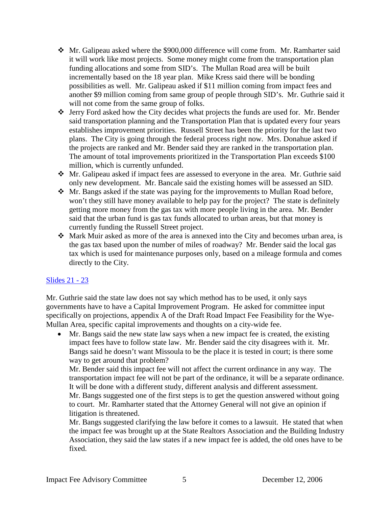- Mr. Galipeau asked where the \$900,000 difference will come from. Mr. Ramharter said it will work like most projects. Some money might come from the transportation plan funding allocations and some from SID's. The Mullan Road area will be built incrementally based on the 18 year plan. Mike Kress said there will be bonding possibilities as well. Mr. Galipeau asked if \$11 million coming from impact fees and another \$9 million coming from same group of people through SID's. Mr. Guthrie said it will not come from the same group of folks.
- Jerry Ford asked how the City decides what projects the funds are used for. Mr. Bender said transportation planning and the Transportation Plan that is updated every four years establishes improvement priorities. Russell Street has been the priority for the last two plans. The City is going through the federal process right now. Mrs. Donahue asked if the projects are ranked and Mr. Bender said they are ranked in the transportation plan. The amount of total improvements prioritized in the Transportation Plan exceeds \$100 million, which is currently unfunded.
- Mr. Galipeau asked if impact fees are assessed to everyone in the area. Mr. Guthrie said only new development. Mr. Bancale said the existing homes will be assessed an SID.
- Mr. Bangs asked if the state was paying for the improvements to Mullan Road before, won't they still have money available to help pay for the project? The state is definitely getting more money from the gas tax with more people living in the area. Mr. Bender said that the urban fund is gas tax funds allocated to urban areas, but that money is currently funding the Russell Street project.
- $\triangleleft$  Mark Muir asked as more of the area is annexed into the City and becomes urban area, is the gas tax based upon the number of miles of roadway? Mr. Bender said the local gas tax which is used for maintenance purposes only, based on a mileage formula and comes directly to the City.

### [Slides 21 -](ftp://www.ci.missoula.mt.us/Documents/Mayor/IFAC/061212RoadIF05.pdf) 23

Mr. Guthrie said the state law does not say which method has to be used, it only says governments have to have a Capital Improvement Program. He asked for committee input specifically on projections, appendix A of the Draft Road Impact Fee Feasibility for the Wye-Mullan Area, specific capital improvements and thoughts on a city-wide fee.

• Mr. Bangs said the new state law says when a new impact fee is created, the existing impact fees have to follow state law. Mr. Bender said the city disagrees with it. Mr. Bangs said he doesn't want Missoula to be the place it is tested in court; is there some way to get around that problem?

Mr. Bender said this impact fee will not affect the current ordinance in any way. The transportation impact fee will not be part of the ordinance, it will be a separate ordinance. It will be done with a different study, different analysis and different assessment. Mr. Bangs suggested one of the first steps is to get the question answered without going to court. Mr. Ramharter stated that the Attorney General will not give an opinion if litigation is threatened.

Mr. Bangs suggested clarifying the law before it comes to a lawsuit. He stated that when the impact fee was brought up at the State Realtors Association and the Building Industry Association, they said the law states if a new impact fee is added, the old ones have to be fixed.